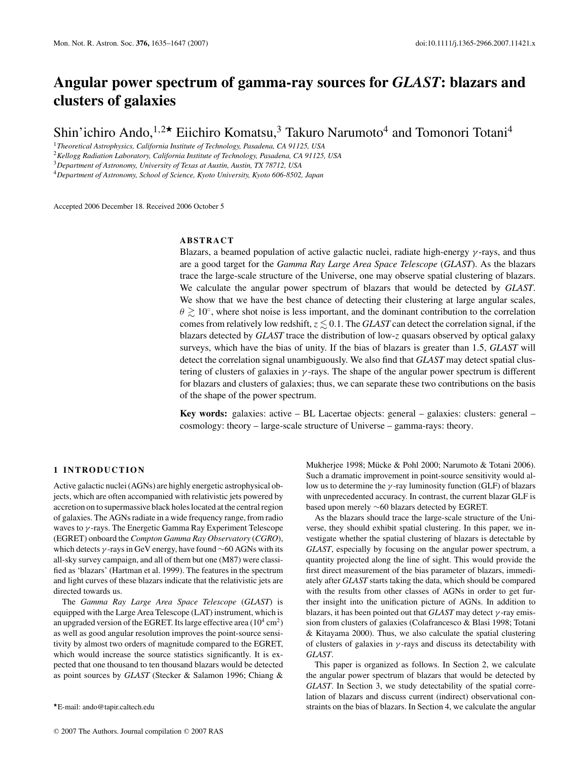# **Angular power spectrum of gamma-ray sources for** *GLAST***: blazars and clusters of galaxies**

Shin'ichiro Ando,<sup>1,2\*</sup> Eiichiro Komatsu,<sup>3</sup> Takuro Narumoto<sup>4</sup> and Tomonori Totani<sup>4</sup>

<sup>1</sup>*Theoretical Astrophysics, California Institute of Technology, Pasadena, CA 91125, USA*

<sup>2</sup>*Kellogg Radiation Laboratory, California Institute of Technology, Pasadena, CA 91125, USA*

<sup>3</sup>*Department of Astronomy, University of Texas at Austin, Austin, TX 78712, USA*

<sup>4</sup>*Department of Astronomy, School of Science, Kyoto University, Kyoto 606-8502, Japan*

Accepted 2006 December 18. Received 2006 October 5

# **ABSTRACT**

Blazars, a beamed population of active galactic nuclei, radiate high-energy  $\gamma$ -rays, and thus are a good target for the *Gamma Ray Large Area Space Telescope* (*GLAST*). As the blazars trace the large-scale structure of the Universe, one may observe spatial clustering of blazars. We calculate the angular power spectrum of blazars that would be detected by *GLAST*. We show that we have the best chance of detecting their clustering at large angular scales,  $\theta \gtrsim 10^\circ$ , where shot noise is less important, and the dominant contribution to the correlation comes from relatively low redshift,  $z \lesssim 0.1$ . The *GLAST* can detect the correlation signal, if the blazars detected by *GLAST* trace the distribution of low-*z* quasars observed by optical galaxy surveys, which have the bias of unity. If the bias of blazars is greater than 1.5, *GLAST* will detect the correlation signal unambiguously. We also find that *GLAST* may detect spatial clustering of clusters of galaxies in  $\gamma$ -rays. The shape of the angular power spectrum is different for blazars and clusters of galaxies; thus, we can separate these two contributions on the basis of the shape of the power spectrum.

**Key words:** galaxies: active – BL Lacertae objects: general – galaxies: clusters: general – cosmology: theory – large-scale structure of Universe – gamma-rays: theory.

# **1 INTRODUCTION**

Active galactic nuclei (AGNs) are highly energetic astrophysical objects, which are often accompanied with relativistic jets powered by accretion on to supermassive black holes located at the central region of galaxies. The AGNs radiate in a wide frequency range, from radio waves to  $\gamma$ -rays. The Energetic Gamma Ray Experiment Telescope (EGRET) onboard the *Compton Gamma Ray Observatory* (*CGRO*), which detects  $\gamma$ -rays in GeV energy, have found ~60 AGNs with its all-sky survey campaign, and all of them but one (M87) were classified as 'blazars' (Hartman et al. 1999). The features in the spectrum and light curves of these blazars indicate that the relativistic jets are directed towards us.

The *Gamma Ray Large Area Space Telescope* (*GLAST*) is equipped with the Large Area Telescope (LAT) instrument, which is an upgraded version of the EGRET. Its large effective area  $(10^4 \text{ cm}^2)$ as well as good angular resolution improves the point-source sensitivity by almost two orders of magnitude compared to the EGRET, which would increase the source statistics significantly. It is expected that one thousand to ten thousand blazars would be detected as point sources by *GLAST* (Stecker & Salamon 1996; Chiang &

Mukherjee 1998; Mücke & Pohl 2000; Narumoto & Totani 2006). Such a dramatic improvement in point-source sensitivity would allow us to determine the  $\gamma$ -ray luminosity function (GLF) of blazars with unprecedented accuracy. In contrast, the current blazar GLF is based upon merely ∼60 blazars detected by EGRET.

As the blazars should trace the large-scale structure of the Universe, they should exhibit spatial clustering. In this paper, we investigate whether the spatial clustering of blazars is detectable by *GLAST*, especially by focusing on the angular power spectrum, a quantity projected along the line of sight. This would provide the first direct measurement of the bias parameter of blazars, immediately after *GLAST* starts taking the data, which should be compared with the results from other classes of AGNs in order to get further insight into the unification picture of AGNs. In addition to blazars, it has been pointed out that *GLAST* may detect γ -ray emission from clusters of galaxies (Colafrancesco & Blasi 1998; Totani & Kitayama 2000). Thus, we also calculate the spatial clustering of clusters of galaxies in  $\gamma$ -rays and discuss its detectability with *GLAST*.

This paper is organized as follows. In Section 2, we calculate the angular power spectrum of blazars that would be detected by *GLAST*. In Section 3, we study detectability of the spatial correlation of blazars and discuss current (indirect) observational constraints on the bias of blazars. In Section 4, we calculate the angular

E-mail: ando@tapir.caltech.edu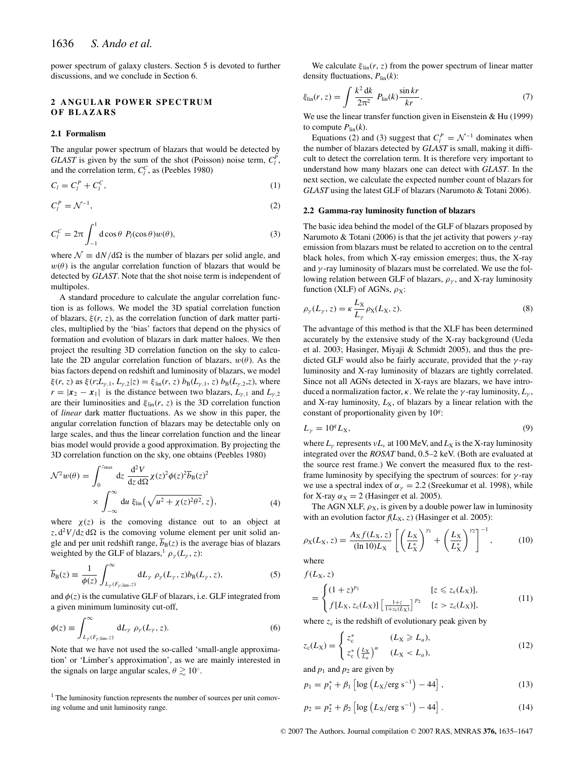power spectrum of galaxy clusters. Section 5 is devoted to further discussions, and we conclude in Section 6.

# **2 ANGULAR POWER SPECTRUM OF BLAZARS**

#### **2.1 Formalism**

The angular power spectrum of blazars that would be detected by *GLAST* is given by the sum of the shot (Poisson) noise term,  $C_l^P$ , and the correlation term,  $C_l^C$ , as (Peebles 1980)

$$
C_l = C_l^P + C_l^C,\tag{1}
$$

$$
C_l^P = \mathcal{N}^{-1},\tag{2}
$$

$$
C_l^C = 2\pi \int_{-1}^1 d\cos\theta \ P_l(\cos\theta) w(\theta), \tag{3}
$$

where  $\mathcal{N} \equiv dN/d\Omega$  is the number of blazars per solid angle, and  $w(\theta)$  is the angular correlation function of blazars that would be detected by *GLAST*. Note that the shot noise term is independent of multipoles.

A standard procedure to calculate the angular correlation function is as follows. We model the 3D spatial correlation function of blazars,  $\xi(r, z)$ , as the correlation function of dark matter particles, multiplied by the 'bias' factors that depend on the physics of formation and evolution of blazars in dark matter haloes. We then project the resulting 3D correlation function on the sky to calculate the 2D angular correlation function of blazars,  $w(\theta)$ . As the bias factors depend on redshift and luminosity of blazars, we model  $\xi(r, z)$  as  $\xi(r; L_{\gamma,1}, L_{\gamma,2}|z) = \xi_{\text{lin}}(r, z) b_{\text{B}}(L_{\gamma,1}, z) b_{\text{B}}(L_{\gamma,2}, z)$ , where  $r = |\mathbf{x}_2 - \mathbf{x}_1|$  is the distance between two blazars,  $L_{\gamma,1}$  and  $L_{\gamma,2}$ are their luminosities and  $\xi_{\text{lin}}(r, z)$  is the 3D correlation function of *linear* dark matter fluctuations. As we show in this paper, the angular correlation function of blazars may be detectable only on large scales, and thus the linear correlation function and the linear bias model would provide a good approximation. By projecting the 3D correlation function on the sky, one obtains (Peebles 1980)

$$
\mathcal{N}^2 w(\theta) = \int_0^{z_{\text{max}}} dz \frac{d^2 V}{dz d\Omega} \chi(z)^2 \phi(z)^2 \overline{b}_B(z)^2
$$
  
 
$$
\times \int_{-\infty}^{\infty} du \xi_{\text{lin}} \left( \sqrt{u^2 + \chi(z)^2 \theta^2}, z \right), \tag{4}
$$

where  $\chi(z)$  is the comoving distance out to an object at  $z$ ,  $d^2V/dz d\Omega$  is the comoving volume element per unit solid angle and per unit redshift range,  $\overline{b}_B(z)$  is the average bias of blazars weighted by the GLF of blazars,<sup>1</sup>  $\rho_{\gamma}(L_{\gamma}, z)$ :

$$
\overline{b}_{\mathcal{B}}(z) \equiv \frac{1}{\phi(z)} \int_{L_{\gamma}(F_{\gamma, \text{lim}, z})}^{\infty} dL_{\gamma} \, \rho_{\gamma}(L_{\gamma}, z) b_{\mathcal{B}}(L_{\gamma}, z), \tag{5}
$$

and  $\phi(z)$  is the cumulative GLF of blazars, i.e. GLF integrated from a given minimum luminosity cut-off,

$$
\phi(z) \equiv \int_{L_{\gamma}(F_{\gamma,\lim},z)}^{\infty} dL_{\gamma} \, \rho_{\gamma}(L_{\gamma},z). \tag{6}
$$

Note that we have not used the so-called 'small-angle approximation' or 'Limber's approximation', as we are mainly interested in the signals on large angular scales,  $\theta \gtrsim 10°$ .

<sup>1</sup> The luminosity function represents the number of sources per unit comoving volume and unit luminosity range.

We calculate  $\xi_{\text{lin}}(r, z)$  from the power spectrum of linear matter density fluctuations, *P*lin(*k*):

$$
\xi_{\rm lin}(r,z) = \int \frac{k^2 \, \mathrm{d}k}{2\pi^2} \, P_{\rm lin}(k) \frac{\sin kr}{kr}.\tag{7}
$$

We use the linear transfer function given in Eisenstein & Hu (1999) to compute  $P_{lin}(k)$ .

Equations (2) and (3) suggest that  $C_l^P = \mathcal{N}^{-1}$  dominates when the number of blazars detected by *GLAST* is small, making it difficult to detect the correlation term. It is therefore very important to understand how many blazars one can detect with *GLAST*. In the next section, we calculate the expected number count of blazars for *GLAST* using the latest GLF of blazars (Narumoto & Totani 2006).

## **2.2 Gamma-ray luminosity function of blazars**

The basic idea behind the model of the GLF of blazars proposed by Narumoto & Totani (2006) is that the jet activity that powers  $\gamma$ -ray emission from blazars must be related to accretion on to the central black holes, from which X-ray emission emerges; thus, the X-ray and  $\gamma$ -ray luminosity of blazars must be correlated. We use the following relation between GLF of blazars,  $\rho_{\gamma}$ , and X-ray luminosity function (XLF) of AGNs,  $\rho_X$ :

$$
\rho_{\gamma}(L_{\gamma}, z) = \kappa \frac{L_{X}}{L_{\gamma}} \rho_{X}(L_{X}, z). \tag{8}
$$

The advantage of this method is that the XLF has been determined accurately by the extensive study of the X-ray background (Ueda et al. 2003; Hasinger, Miyaji & Schmidt 2005), and thus the predicted GLF would also be fairly accurate, provided that the  $\gamma$ -ray luminosity and X-ray luminosity of blazars are tightly correlated. Since not all AGNs detected in X-rays are blazars, we have introduced a normalization factor,  $\kappa$ . We relate the  $\gamma$ -ray luminosity,  $L_{\gamma}$ , and X-ray luminosity,  $L_X$ , of blazars by a linear relation with the constant of proportionality given by 10*<sup>q</sup>*:

$$
L_{\gamma} = 10^q L_{\rm X},\tag{9}
$$

where  $L_{\gamma}$  represents  $vL_{\nu}$  at 100 MeV, and  $L_{\chi}$  is the X-ray luminosity integrated over the *ROSAT* band, 0.5–2 keV. (Both are evaluated at the source rest frame.) We convert the measured flux to the restframe luminosity by specifying the spectrum of sources: for  $\gamma$ -ray we use a spectral index of  $\alpha_{\gamma} = 2.2$  (Sreekumar et al. 1998), while for X-ray  $\alpha_X = 2$  (Hasinger et al. 2005).

The AGN XLF,  $\rho_X$ , is given by a double power law in luminosity with an evolution factor  $f(L_X, z)$  (Hasinger et al. 2005):

$$
\rho_X(L_X, z) = \frac{A_X f(L_X, z)}{(\ln 10) L_X} \left[ \left( \frac{L_X}{L_X^*} \right)^{\gamma_1} + \left( \frac{L_X}{L_X^*} \right)^{\gamma_2} \right]^{-1},\tag{10}
$$
\nwhere

 $f(L_X, z)$ 

$$
= \begin{cases} (1+z)^{p_1} & [z \leq z_c(L_X)], \\ f[L_X, z_c(L_X)] \left[ \frac{1+z}{1+z_c(L_X)} \right]^{p_2} & [z > z_c(L_X)], \end{cases}
$$
(11)

where  $z_c$  is the redshift of evolutionary peak given by

$$
z_{c}(L_{X}) = \begin{cases} z_{c}^{*} & (L_{X} \ge L_{a}), \\ z_{c}^{*} \left(\frac{L_{X}}{L_{a}}\right)^{\alpha} & (L_{X} < L_{a}), \end{cases} \tag{12}
$$

and  $p_1$  and  $p_2$  are given by

$$
p_1 = p_1^* + \beta_1 \left[ \log \left( L_X / \text{erg s}^{-1} \right) - 44 \right],\tag{13}
$$

$$
p_2 = p_2^* + \beta_2 \left[ \log \left( L_X / \text{erg s}^{-1} \right) - 44 \right]. \tag{14}
$$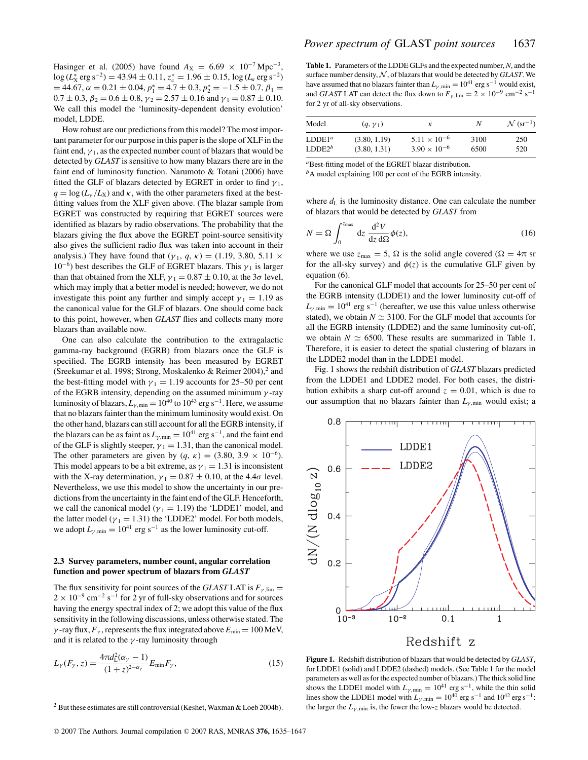Hasinger et al. (2005) have found  $A_X = 6.69 \times 10^{-7}$  Mpc<sup>-3</sup>,  $\log (L_{\rm X}^* \, {\rm erg \, s^{-2}}) = 43.94 \pm 0.11, \, z_{\rm c}^* = 1.96 \pm 0.15, \, \log (L_a \, {\rm erg \, s^{-2}})$  $= 44.67, \alpha = 0.21 \pm 0.04, p_1^* = 4.7 \pm 0.3, p_2^* = -1.5 \pm 0.7, \beta_1 =$  $0.7 \pm 0.3$ ,  $\beta_2 = 0.6 \pm 0.8$ ,  $\gamma_2 = 2.57 \pm 0.16$  and  $\gamma_1 = 0.87 \pm 0.10$ . We call this model the 'luminosity-dependent density evolution' model, LDDE.

How robust are our predictions from this model? The most important parameter for our purpose in this paper is the slope of XLF in the faint end,  $\gamma_1$ , as the expected number count of blazars that would be detected by *GLAST* is sensitive to how many blazars there are in the faint end of luminosity function. Narumoto & Totani (2006) have fitted the GLF of blazars detected by EGRET in order to find  $\gamma_1$ ,  $q = \log (L_y/L_x)$  and  $\kappa$ , with the other parameters fixed at the bestfitting values from the XLF given above. (The blazar sample from EGRET was constructed by requiring that EGRET sources were identified as blazars by radio observations. The probability that the blazars giving the flux above the EGRET point-source sensitivity also gives the sufficient radio flux was taken into account in their analysis.) They have found that  $(\gamma_1, q, \kappa) = (1.19, 3.80, 5.11 \times$ 10<sup>−6</sup>) best describes the GLF of EGRET blazars. This  $γ₁$  is larger than that obtained from the XLF,  $\gamma_1 = 0.87 \pm 0.10$ , at the 3 $\sigma$  level, which may imply that a better model is needed; however, we do not investigate this point any further and simply accept  $\gamma_1 = 1.19$  as the canonical value for the GLF of blazars. One should come back to this point, however, when *GLAST* flies and collects many more blazars than available now.

One can also calculate the contribution to the extragalactic gamma-ray background (EGRB) from blazars once the GLF is specified. The EGRB intensity has been measured by EGRET (Sreekumar et al. 1998; Strong, Moskalenko & Reimer 2004),<sup>2</sup> and the best-fitting model with  $\gamma_1 = 1.19$  accounts for 25–50 per cent of the EGRB intensity, depending on the assumed minimum  $\gamma$ -ray luminosity of blazars,  $L_{\gamma,\text{min}} = 10^{40}$  to  $10^{43}$  erg s<sup>-1</sup>. Here, we assume that no blazars fainter than the minimum luminosity would exist. On the other hand, blazars can still account for all the EGRB intensity, if the blazars can be as faint as  $L_{\gamma,\text{min}} = 10^{41} \text{ erg s}^{-1}$ , and the faint end of the GLF is slightly steeper,  $\gamma_1 = 1.31$ , than the canonical model. The other parameters are given by  $(q, \kappa) = (3.80, 3.9 \times 10^{-6})$ . This model appears to be a bit extreme, as  $\gamma_1 = 1.31$  is inconsistent with the X-ray determination,  $\gamma_1 = 0.87 \pm 0.10$ , at the 4.4 $\sigma$  level. Nevertheless, we use this model to show the uncertainty in our predictions from the uncertainty in the faint end of the GLF. Henceforth, we call the canonical model ( $\gamma_1 = 1.19$ ) the 'LDDE1' model, and the latter model ( $\gamma_1 = 1.31$ ) the 'LDDE2' model. For both models, we adopt  $L_{\gamma,\text{min}} = 10^{41} \text{ erg s}^{-1}$  as the lower luminosity cut-off.

#### **2.3 Survey parameters, number count, angular correlation function and power spectrum of blazars from** *GLAST*

The flux sensitivity for point sources of the *GLAST* LAT is  $F_{\nu, \text{lim}} =$  $2 \times 10^{-9}$  cm<sup>-2</sup> s<sup>-1</sup> for 2 yr of full-sky observations and for sources having the energy spectral index of 2; we adopt this value of the flux sensitivity in the following discussions, unless otherwise stated. The  $γ$ -ray flux,  $F<sub>γ</sub>$ , represents the flux integrated above  $E<sub>min</sub> = 100$  MeV, and it is related to the  $\gamma$ -ray luminosity through

$$
L_{\gamma}(F_{\gamma}, z) = \frac{4\pi d_{\mathcal{L}}^2(\alpha_{\gamma} - 1)}{(1 + z)^{2-\alpha_{\gamma}}} E_{\min} F_{\gamma},
$$
\n(15)

**Table 1.** Parameters of the LDDE GLFs and the expected number,*N*, and the surface number density,  $N$ , of blazars that would be detected by *GLAST*. We have assumed that no blazars fainter than  $L_{\gamma,\text{min}} = 10^{41} \text{ erg s}^{-1}$  would exist, and *GLAST* LAT can detect the flux down to  $F_{\gamma,\text{lim}} = 2 \times 10^{-9} \text{ cm}^{-2} \text{ s}^{-1}$ for 2 yr of all-sky observations.

| Model                     | $(q, \gamma_1)$ | к                     | N    | $\mathcal{N}$ (sr <sup>-1</sup> ) |
|---------------------------|-----------------|-----------------------|------|-----------------------------------|
| LDDE <sup>1<i>a</i></sup> | (3.80, 1.19)    | $5.11 \times 10^{-6}$ | 3100 | 250                               |
| LDDE $2^b$                | (3.80, 1.31)    | $3.90 \times 10^{-6}$ | 6500 | 520                               |

*<sup>a</sup>*Best-fitting model of the EGRET blazar distribution.

*<sup>b</sup>*A model explaining 100 per cent of the EGRB intensity.

where  $d_{\text{L}}$  is the luminosity distance. One can calculate the number of blazars that would be detected by *GLAST* from

$$
N = \Omega \int_0^{z_{\text{max}}} dz \, \frac{d^2 V}{dz \, d\Omega} \phi(z),\tag{16}
$$

where we use  $z_{\text{max}} = 5$ ,  $\Omega$  is the solid angle covered ( $\Omega = 4\pi$  sr for the all-sky survey) and  $\phi(z)$  is the cumulative GLF given by equation (6).

For the canonical GLF model that accounts for 25–50 per cent of the EGRB intensity (LDDE1) and the lower luminosity cut-off of  $L_{\gamma,\text{min}} = 10^{41} \text{ erg s}^{-1}$  (hereafter, we use this value unless otherwise stated), we obtain  $N \simeq 3100$ . For the GLF model that accounts for all the EGRB intensity (LDDE2) and the same luminosity cut-off, we obtain  $N \simeq 6500$ . These results are summarized in Table 1. Therefore, it is easier to detect the spatial clustering of blazars in the LDDE2 model than in the LDDE1 model.

Fig. 1 shows the redshift distribution of *GLAST* blazars predicted from the LDDE1 and LDDE2 model. For both cases, the distribution exhibits a sharp cut-off around  $z = 0.01$ , which is due to our assumption that no blazars fainter than  $L_{\gamma,\text{min}}$  would exist; a



**Figure 1.** Redshift distribution of blazars that would be detected by *GLAST*, for LDDE1 (solid) and LDDE2 (dashed) models. (See Table 1 for the model parameters as well as for the expected number of blazars.) The thick solid line shows the LDDE1 model with  $L_{\gamma,\text{min}} = 10^{41} \text{ erg s}^{-1}$ , while the thin solid lines show the LDDE1 model with  $L_{\gamma,\text{min}} = 10^{40} \text{ erg s}^{-1}$  and  $10^{42} \text{ erg s}^{-1}$ : the larger the  $L_{\gamma,\text{min}}$  is, the fewer the low-*z* blazars would be detected.

 $2$  But these estimates are still controversial (Keshet, Waxman & Loeb 2004b).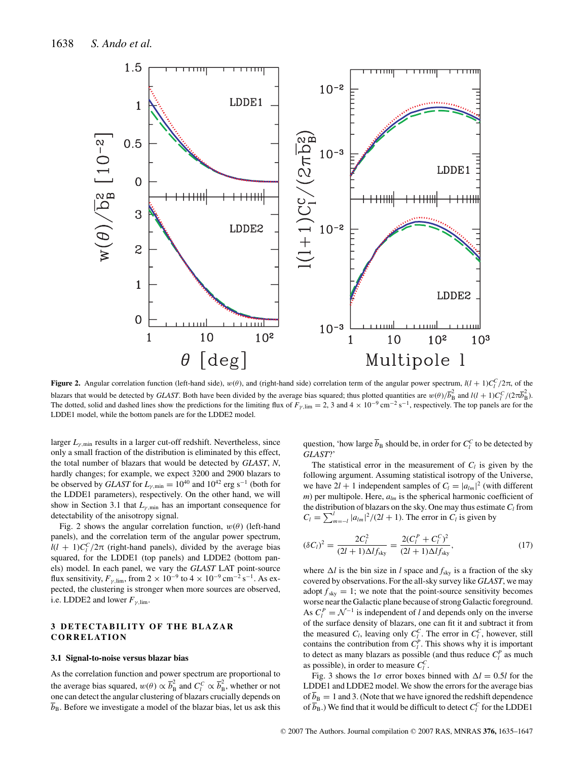

**Figure 2.** Angular correlation function (left-hand side),  $w(\theta)$ , and (right-hand side) correlation term of the angular power spectrum,  $l(l + 1)C_l^C/2\pi$ , of the blazars that would be detected by *GLAST*. Both have been divided by the average bias squared; thus plotted quantities are  $w(\theta)/\overline{b}_B^2$  and  $l(l + 1)C_l^C/(2\pi \overline{b}_B^2)$ . The dotted, solid and dashed lines show the predictions for the limiting flux of  $F_{\gamma,\text{lim}} = 2$ , 3 and  $4 \times 10^{-9} \text{ cm}^{-2} \text{ s}^{-1}$ , respectively. The top panels are for the LDDE1 model, while the bottom panels are for the LDDE2 model.

larger  $L_{\gamma,\text{min}}$  results in a larger cut-off redshift. Nevertheless, since only a small fraction of the distribution is eliminated by this effect, the total number of blazars that would be detected by *GLAST*, *N*, hardly changes; for example, we expect 3200 and 2900 blazars to be observed by *GLAST* for  $L_{\gamma,\text{min}} = 10^{40}$  and  $10^{42}$  erg s<sup>-1</sup> (both for the LDDE1 parameters), respectively. On the other hand, we will show in Section 3.1 that  $L_{\gamma, min}$  has an important consequence for detectability of the anisotropy signal.

Fig. 2 shows the angular correlation function,  $w(\theta)$  (left-hand panels), and the correlation term of the angular power spectrum,  $l(l + 1)C_l^C/2\pi$  (right-hand panels), divided by the average bias squared, for the LDDE1 (top panels) and LDDE2 (bottom panels) model. In each panel, we vary the *GLAST* LAT point-source flux sensitivity,  $F_{\gamma, \text{lim}}$ , from 2 × 10<sup>-9</sup> to 4 × 10<sup>-9</sup> cm<sup>-2</sup> s<sup>-1</sup>. As expected, the clustering is stronger when more sources are observed, i.e. LDDE2 and lower  $F_{\gamma,\text{lim}}$ .

# **3 DETECTABILITY OF THE BLAZAR CORRELATION**

#### **3.1 Signal-to-noise versus blazar bias**

As the correlation function and power spectrum are proportional to the average bias squared,  $w(\theta) \propto \overline{b}_B^2$  and  $C_l^C \propto \overline{b}_B^2$ , whether or not one can detect the angular clustering of blazars crucially depends on  $\overline{b}_B$ . Before we investigate a model of the blazar bias, let us ask this

question, 'how large  $\overline{b}_B$  should be, in order for  $C_l^C$  to be detected by *GLAST*?'

The statistical error in the measurement of  $C_l$  is given by the following argument. Assuming statistical isotropy of the Universe, we have  $2l + 1$  independent samples of  $C_l = |a_{lm}|^2$  (with different *m*) per multipole. Here, *alm* is the spherical harmonic coefficient of the distribution of blazars on the sky. One may thus estimate  $C_l$  from  $C_l = \sum_{m=-l}^{l} |a_{lm}|^2 / (2l + 1)$ . The error in  $C_l$  is given by

$$
(\delta C_l)^2 = \frac{2C_l^2}{(2l+1)\Delta I f_{\rm sky}} = \frac{2(C_l^P + C_l^C)^2}{(2l+1)\Delta I f_{\rm sky}},
$$
\n(17)

where  $\Delta l$  is the bin size in *l* space and  $f_{\text{sky}}$  is a fraction of the sky covered by observations. For the all-sky survey like *GLAST*, we may adopt  $f_{sky} = 1$ ; we note that the point-source sensitivity becomes worse near the Galactic plane because of strong Galactic foreground. As  $C_l^P = \mathcal{N}^{-1}$  is independent of *l* and depends only on the inverse of the surface density of blazars, one can fit it and subtract it from the measured  $C_l$ , leaving only  $C_l^C$ . The error in  $C_l^C$ , however, still contains the contribution from  $C_l^P$ . This shows why it is important to detect as many blazars as possible (and thus reduce  $C_l^P$  as much as possible), in order to measure  $C_l^C$ .

Fig. 3 shows the 1 $\sigma$  error boxes binned with  $\Delta l = 0.5l$  for the LDDE1 and LDDE2 model. We show the errors for the average bias of  $\overline{b}_B = 1$  and 3. (Note that we have ignored the redshift dependence of  $\overline{b}_\text{B}$ .) We find that it would be difficult to detect  $C_l^C$  for the LDDE1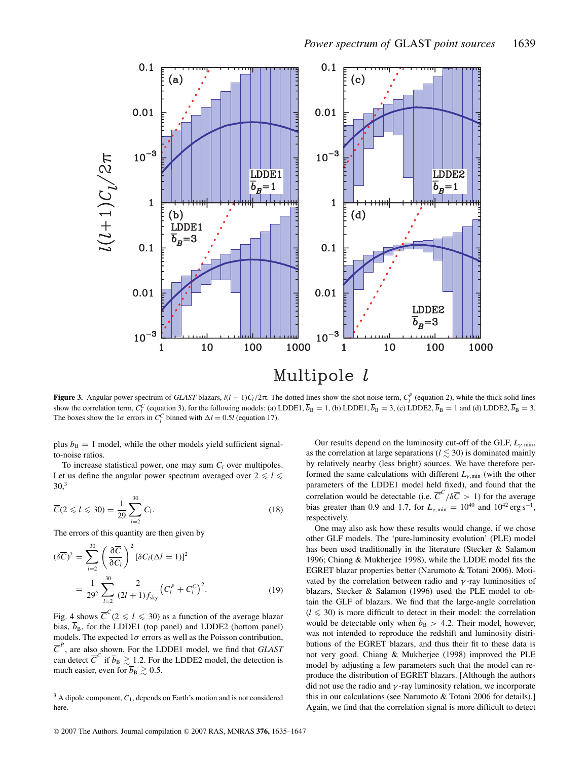

**Figure 3.** Angular power spectrum of *GLAST* blazars,  $l(l + 1)C_l/2\pi$ . The dotted lines show the shot noise term,  $C_l^p$  (equation 2), while the thick solid lines show the correlation term,  $C_l^C$  (equation 3), for the following models: (a) LDDE1,  $\overline{b}_B = 1$ , (b) LDDE1,  $\overline{b}_B = 3$ , (c) LDDE2,  $\overline{b}_B = 1$  and (d) LDDE2,  $\overline{b}_B = 3$ . The boxes show the  $1\sigma$  errors in  $C_l^C$  binned with  $\Delta l = 0.5l$  (equation 17).

plus  $\overline{b}_B = 1$  model, while the other models yield sufficient signalto-noise ratios.

To increase statistical power, one may sum  $C_l$  over multipoles. Let us define the angular power spectrum averaged over  $2 \le l \le n$  $30<sup>3</sup>$ 

$$
\overline{C}(2 \le l \le 30) = \frac{1}{29} \sum_{l=2}^{30} C_l.
$$
 (18)

The errors of this quantity are then given by

$$
(\delta \overline{C})^2 = \sum_{l=2}^{30} \left( \frac{\partial \overline{C}}{\partial C_l} \right)^2 [\delta C_l (\Delta l = 1)]^2
$$
  
= 
$$
\frac{1}{29^2} \sum_{l=2}^{30} \frac{2}{(2l+1) f_{\rm sky}} (C_l^P + C_l^C)^2.
$$
 (19)

Fig. 4 shows  $\overline{C}^C(2 \le l \le 30)$  as a function of the average blazar bias,  $\overline{b}_B$ , for the LDDE1 (top panel) and LDDE2 (bottom panel) models. The expected  $1\sigma$  errors as well as the Poisson contribution,  $\overline{C}^P$ , are also shown. For the LDDE1 model, we find that *GLAST* can detect  $\overline{C}^C$  if  $\overline{b}_B \gtrsim 1.2$ . For the LDDE2 model, the detection is much easier, even for  $\overline{b}_B \gtrsim 0.5$ .

<sup>3</sup> A dipole component,  $C_1$ , depends on Earth's motion and is not considered here.

Our results depend on the luminosity cut-off of the GLF,  $L_{\gamma,\text{min}}$ , as the correlation at large separations ( $l \lesssim 30$ ) is dominated mainly by relatively nearby (less bright) sources. We have therefore performed the same calculations with different  $L_{\gamma,\text{min}}$  (with the other parameters of the LDDE1 model held fixed), and found that the correlation would be detectable (i.e.  $\overline{C}^C/\delta\overline{C} > 1$ ) for the average bias greater than 0.9 and 1.7, for  $L_{\gamma,\text{min}} = 10^{40}$  and  $10^{42} \text{ erg s}^{-1}$ , respectively.

One may also ask how these results would change, if we chose other GLF models. The 'pure-luminosity evolution' (PLE) model has been used traditionally in the literature (Stecker & Salamon 1996; Chiang & Mukherjee 1998), while the LDDE model fits the EGRET blazar properties better (Narumoto & Totani 2006). Motivated by the correlation between radio and  $\gamma$ -ray luminosities of blazars, Stecker & Salamon (1996) used the PLE model to obtain the GLF of blazars. We find that the large-angle correlation  $(l \leq 30)$  is more difficult to detect in their model: the correlation would be detectable only when  $\overline{b}_B > 4.2$ . Their model, however, was not intended to reproduce the redshift and luminosity distributions of the EGRET blazars, and thus their fit to these data is not very good. Chiang & Mukherjee (1998) improved the PLE model by adjusting a few parameters such that the model can reproduce the distribution of EGRET blazars. [Although the authors did not use the radio and  $\gamma$ -ray luminosity relation, we incorporate this in our calculations (see Narumoto & Totani 2006 for details).] Again, we find that the correlation signal is more difficult to detect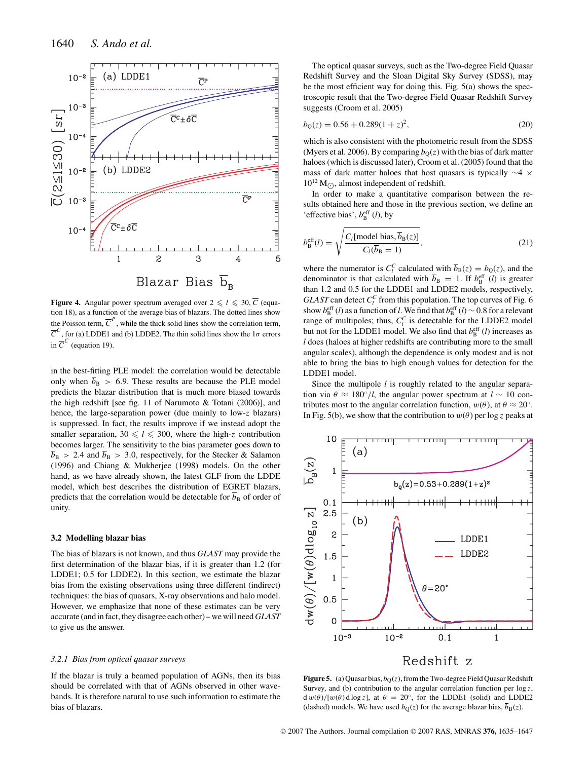

**Figure 4.** Angular power spectrum averaged over  $2 \le l \le 30$ ,  $\overline{C}$  (equation 18), as a function of the average bias of blazars. The dotted lines show the Poisson term,  $\overline{C}^P$ , while the thick solid lines show the correlation term,  $\overline{C}^C$ , for (a) LDDE1 and (b) LDDE2. The thin solid lines show the 1 $\sigma$  errors in  $\overline{C}^C$  (equation 19).

in the best-fitting PLE model: the correlation would be detectable only when  $\overline{b}_B > 6.9$ . These results are because the PLE model predicts the blazar distribution that is much more biased towards the high redshift [see fig. 11 of Narumoto & Totani (2006)], and hence, the large-separation power (due mainly to low-*z* blazars) is suppressed. In fact, the results improve if we instead adopt the smaller separation,  $30 \le l \le 300$ , where the high-*z* contribution becomes larger. The sensitivity to the bias parameter goes down to  $\overline{b}_B > 2.4$  and  $\overline{b}_B > 3.0$ , respectively, for the Stecker & Salamon (1996) and Chiang & Mukherjee (1998) models. On the other hand, as we have already shown, the latest GLF from the LDDE model, which best describes the distribution of EGRET blazars, predicts that the correlation would be detectable for  $\overline{b}_B$  of order of unity.

## **3.2 Modelling blazar bias**

The bias of blazars is not known, and thus *GLAST* may provide the first determination of the blazar bias, if it is greater than 1.2 (for LDDE1; 0.5 for LDDE2). In this section, we estimate the blazar bias from the existing observations using three different (indirect) techniques: the bias of quasars, X-ray observations and halo model. However, we emphasize that none of these estimates can be very accurate (and in fact, they disagree each other) – we will need GLAST to give us the answer.

#### *3.2.1 Bias from optical quasar surveys*

If the blazar is truly a beamed population of AGNs, then its bias should be correlated with that of AGNs observed in other wavebands. It is therefore natural to use such information to estimate the bias of blazars.

The optical quasar surveys, such as the Two-degree Field Quasar Redshift Survey and the Sloan Digital Sky Survey (SDSS), may be the most efficient way for doing this. Fig. 5(a) shows the spectroscopic result that the Two-degree Field Quasar Redshift Survey suggests (Croom et al. 2005)

$$
b_{Q}(z) = 0.56 + 0.289(1 + z)^{2},
$$
\n(20)

which is also consistent with the photometric result from the SDSS (Myers et al. 2006). By comparing  $b<sub>O</sub>(z)$  with the bias of dark matter haloes (which is discussed later), Croom et al. (2005) found that the mass of dark matter haloes that host quasars is typically ∼4 ×  $10^{12}$  M<sub>( $\odot$ </sub>, almost independent of redshift.

In order to make a quantitative comparison between the results obtained here and those in the previous section, we define an 'effective bias',  $b_B^{\text{eff}}(l)$ , by

$$
b_{\rm B}^{\rm eff}(l) = \sqrt{\frac{C_l[\text{model bias}, \overline{b}_{\rm B}(z)]}{C_l(\overline{b}_{\rm B} = 1)}},\tag{21}
$$

where the numerator is  $C_l^C$  calculated with  $\overline{b}_B(z) = b_Q(z)$ , and the denominator is that calculated with  $\overline{b}_B = 1$ . If  $b_B^{\text{eff}}(l)$  is greater than 1.2 and 0.5 for the LDDE1 and LDDE2 models, respectively, *GLAST* can detect  $C_l^C$  from this population. The top curves of Fig. 6 show  $b_B^{\text{eff}}(l)$  as a function of *l*. We find that  $b_B^{\text{eff}}(l) \sim 0.8$  for a relevant range of multipoles; thus,  $C_l^C$  is detectable for the LDDE2 model but not for the LDDE1 model. We also find that  $b_{\text{B}}^{\text{eff}}(l)$  increases as *l* does (haloes at higher redshifts are contributing more to the small angular scales), although the dependence is only modest and is not able to bring the bias to high enough values for detection for the LDDE1 model.

Since the multipole *l* is roughly related to the angular separation via  $\theta \approx 180°/l$ , the angular power spectrum at  $l \sim 10$  contributes most to the angular correlation function,  $w(\theta)$ , at  $\theta \approx 20^{\circ}$ . In Fig. 5(b), we show that the contribution to  $w(\theta)$  per log *z* peaks at



**Figure 5.** (a) Quasar bias,  $b<sub>O</sub>(z)$ , from the Two-degree Field Quasar Redshift Survey, and (b) contribution to the angular correlation function per log *z*,  $d w(\theta) / [w(\theta) d \log z]$ , at  $\theta = 20^\circ$ , for the LDDE1 (solid) and LDDE2 (dashed) models. We have used  $b<sub>Q</sub>(z)$  for the average blazar bias,  $\overline{b<sub>B</sub>}(z)$ .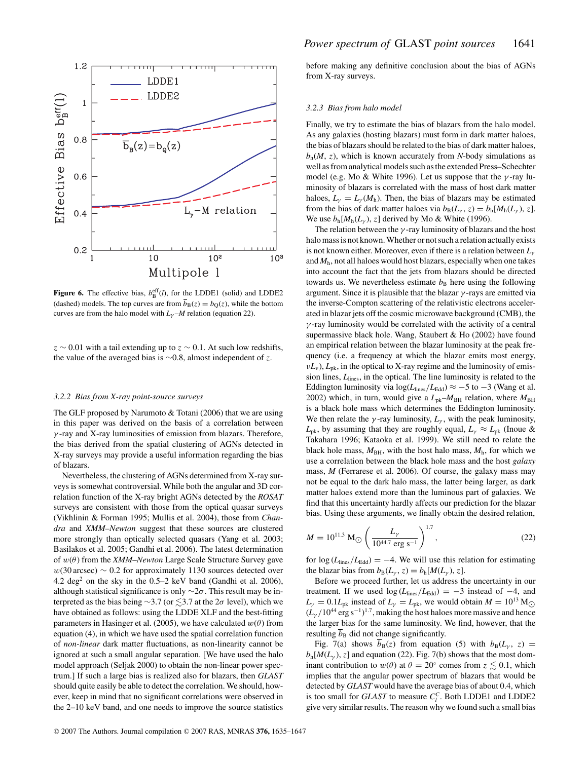

**Figure 6.** The effective bias,  $b_B^{\text{eff}}(l)$ , for the LDDE1 (solid) and LDDE2 (dashed) models. The top curves are from  $\overline{b}_B(z) = b_O(z)$ , while the bottom curves are from the halo model with  $L<sub>\gamma</sub>$ –*M* relation (equation 22).

*z* ∼ 0.01 with a tail extending up to *z* ∼ 0.1. At such low redshifts, the value of the averaged bias is ∼0.8, almost independent of *z*.

#### *3.2.2 Bias from X-ray point-source surveys*

The GLF proposed by Narumoto & Totani (2006) that we are using in this paper was derived on the basis of a correlation between  $\gamma$ -ray and X-ray luminosities of emission from blazars. Therefore, the bias derived from the spatial clustering of AGNs detected in X-ray surveys may provide a useful information regarding the bias of blazars.

Nevertheless, the clustering of AGNs determined from X-ray surveys is somewhat controversial. While both the angular and 3D correlation function of the X-ray bright AGNs detected by the *ROSAT* surveys are consistent with those from the optical quasar surveys (Vikhlinin & Forman 1995; Mullis et al. 2004), those from *Chandra* and *XMM–Newton* suggest that these sources are clustered more strongly than optically selected quasars (Yang et al. 2003; Basilakos et al. 2005; Gandhi et al. 2006). The latest determination of w(θ) from the *XMM–Newton* Large Scale Structure Survey gave  $w(30 \text{ arcsec}) \sim 0.2$  for approximately 1130 sources detected over 4.2 deg<sup>2</sup> on the sky in the  $0.5-2$  keV band (Gandhi et al. 2006), although statistical significance is only  $\sim$ 2 $\sigma$ . This result may be interpreted as the bias being  $\sim$ 3.7 (or  $\lesssim$ 3.7 at the 2 $\sigma$  level), which we have obtained as follows: using the LDDE XLF and the best-fitting parameters in Hasinger et al. (2005), we have calculated  $w(\theta)$  from equation (4), in which we have used the spatial correlation function of *non-linear* dark matter fluctuations, as non-linearity cannot be ignored at such a small angular separation. [We have used the halo model approach (Seljak 2000) to obtain the non-linear power spectrum.] If such a large bias is realized also for blazars, then *GLAST* should quite easily be able to detect the correlation. We should, however, keep in mind that no significant correlations were observed in the 2–10 keV band, and one needs to improve the source statistics

before making any definitive conclusion about the bias of AGNs from X-ray surveys.

#### *3.2.3 Bias from halo model*

Finally, we try to estimate the bias of blazars from the halo model. As any galaxies (hosting blazars) must form in dark matter haloes, the bias of blazars should be related to the bias of dark matter haloes,  $b_h(M, z)$ , which is known accurately from *N*-body simulations as well as from analytical models such as the extended Press–Schechter model (e.g. Mo & White 1996). Let us suppose that the  $\gamma$ -ray luminosity of blazars is correlated with the mass of host dark matter haloes,  $L_{\gamma} = L_{\gamma} (M_h)$ . Then, the bias of blazars may be estimated from the bias of dark matter haloes via  $b_B(L_\gamma, z) = b_h[M_h(L_\gamma), z]$ . We use  $b_h[M_h(L_v), z]$  derived by Mo & White (1996).

The relation between the  $\gamma$ -ray luminosity of blazars and the host halo mass is not known. Whether or not such a relation actually exists is not known either. Moreover, even if there is a relation between *L*<sup>γ</sup> and  $M<sub>h</sub>$ , not all haloes would host blazars, especially when one takes into account the fact that the jets from blazars should be directed towards us. We nevertheless estimate  $b<sub>B</sub>$  here using the following argument. Since it is plausible that the blazar  $\gamma$ -rays are emitted via the inverse-Compton scattering of the relativistic electrons accelerated in blazar jets off the cosmic microwave background (CMB), the  $\gamma$ -ray luminosity would be correlated with the activity of a central supermassive black hole. Wang, Staubert & Ho (2002) have found an empirical relation between the blazar luminosity at the peak frequency (i.e. a frequency at which the blazar emits most energy,  $vL_v$ ),  $L_{\rm pk}$ , in the optical to X-ray regime and the luminosity of emission lines,  $L<sub>lines</sub>$ , in the optical. The line luminosity is related to the Eddington luminosity via  $\log(L_{\text{lines}}/L_{\text{Edd}}) \approx -5$  to  $-3$  (Wang et al. 2002) which, in turn, would give a  $L_{pk}$ – $M_{BH}$  relation, where  $M_{BH}$ is a black hole mass which determines the Eddington luminosity. We then relate the  $\gamma$ -ray luminosity,  $L_{\gamma}$ , with the peak luminosity,  $L_{\rm pk}$ , by assuming that they are roughly equal,  $L_{\gamma} \approx L_{\rm pk}$  (Inoue & Takahara 1996; Kataoka et al. 1999). We still need to relate the black hole mass,  $M_{\text{BH}}$ , with the host halo mass,  $M_{\text{h}}$ , for which we use a correlation between the black hole mass and the host *galaxy* mass, *M* (Ferrarese et al. 2006). Of course, the galaxy mass may not be equal to the dark halo mass, the latter being larger, as dark matter haloes extend more than the luminous part of galaxies. We find that this uncertainty hardly affects our prediction for the blazar bias. Using these arguments, we finally obtain the desired relation,

$$
M = 10^{11.3} \, \text{M}_{\odot} \left( \frac{L_{\gamma}}{10^{44.7} \, \text{erg s}^{-1}} \right)^{1.7}, \tag{22}
$$

for  $\log (L_{\text{lines}}/L_{\text{Edd}}) = -4$ . We will use this relation for estimating the blazar bias from  $b_B(L_\gamma, z) = b_h[M(L_\gamma), z]$ .

Before we proceed further, let us address the uncertainty in our treatment. If we used  $\log(L_{\text{lines}}/L_{\text{Edd}}) = -3$  instead of  $-4$ , and  $L_{\gamma} = 0.1L_{\rm pk}$  instead of  $L_{\gamma} = L_{\rm pk}$ , we would obtain  $M = 10^{13}$  M<sub>O</sub>  $(L_\gamma/10^{44} \text{ erg s}^{-1})^{1.7}$ , making the host haloes more massive and hence the larger bias for the same luminosity. We find, however, that the resulting  $\overline{b}_B$  did not change significantly.

Fig. 7(a) shows  $\overline{b}_B(z)$  from equation (5) with  $b_B(L_\gamma, z)$  =  $b_h[M(L_\gamma), z]$  and equation (22). Fig. 7(b) shows that the most dominant contribution to  $w(\theta)$  at  $\theta = 20^{\circ}$  comes from  $z \lesssim 0.1$ , which implies that the angular power spectrum of blazars that would be detected by *GLAST* would have the average bias of about 0.4, which is too small for *GLAST* to measure  $C_l^C$ . Both LDDE1 and LDDE2 give very similar results. The reason why we found such a small bias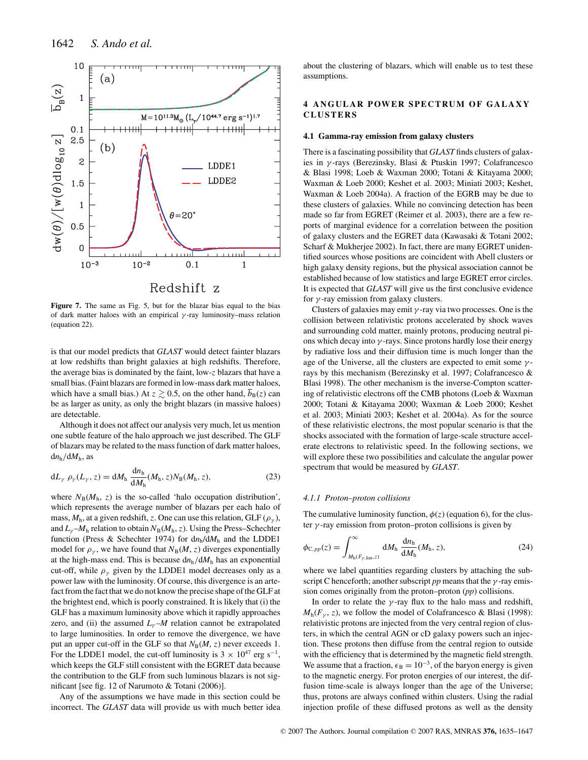

**Figure 7.** The same as Fig. 5, but for the blazar bias equal to the bias of dark matter haloes with an empirical  $\gamma$ -ray luminosity–mass relation (equation 22).

is that our model predicts that *GLAST* would detect fainter blazars at low redshifts than bright galaxies at high redshifts. Therefore, the average bias is dominated by the faint, low-*z* blazars that have a small bias. (Faint blazars are formed in low-mass dark matter haloes, which have a small bias.) At  $z \gtrsim 0.5$ , on the other hand,  $\overline{b}_B(z)$  can be as larger as unity, as only the bright blazars (in massive haloes) are detectable.

Although it does not affect our analysis very much, let us mention one subtle feature of the halo approach we just described. The GLF of blazars may be related to the mass function of dark matter haloes, d*n*h/d*M*h, as

$$
dL_{\gamma} \rho_{\gamma}(L_{\gamma}, z) = dM_{h} \frac{dn_{h}}{dM_{h}} (M_{h}, z) N_{B} (M_{h}, z), \qquad (23)
$$

where  $N_B(M_h, z)$  is the so-called 'halo occupation distribution', which represents the average number of blazars per each halo of mass,  $M_h$ , at a given redshift, *z*. One can use this relation, GLF ( $\rho_{\gamma}$ ), and  $L_{\gamma}$ – $M_h$  relation to obtain  $N_B(M_h, z)$ . Using the Press–Schechter function (Press & Schechter 1974) for  $dn_h/dM_h$  and the LDDE1 model for  $\rho_{\gamma}$ , we have found that  $N_{\text{B}}(M, z)$  diverges exponentially at the high-mass end. This is because  $dn_h/dM_h$  has an exponential cut-off, while  $\rho_{\gamma}$  given by the LDDE1 model decreases only as a power law with the luminosity. Of course, this divergence is an artefact from the fact that we do not know the precise shape of the GLF at the brightest end, which is poorly constrained. It is likely that (i) the GLF has a maximum luminosity above which it rapidly approaches zero, and (ii) the assumed  $L<sub>y</sub>$ –*M* relation cannot be extrapolated to large luminosities. In order to remove the divergence, we have put an upper cut-off in the GLF so that  $N_B(M, z)$  never exceeds 1. For the LDDE1 model, the cut-off luminosity is  $3 \times 10^{47}$  erg s<sup>-1</sup>, which keeps the GLF still consistent with the EGRET data because the contribution to the GLF from such luminous blazars is not significant [see fig. 12 of Narumoto & Totani (2006)].

Any of the assumptions we have made in this section could be incorrect. The *GLAST* data will provide us with much better idea about the clustering of blazars, which will enable us to test these assumptions.

# **4 ANGULAR POWER SPECTRUM OF GALAXY CLUSTERS**

#### **4.1 Gamma-ray emission from galaxy clusters**

There is a fascinating possibility that *GLAST* finds clusters of galaxies in γ -rays (Berezinsky, Blasi & Ptuskin 1997; Colafrancesco & Blasi 1998; Loeb & Waxman 2000; Totani & Kitayama 2000; Waxman & Loeb 2000; Keshet et al. 2003; Miniati 2003; Keshet, Waxman & Loeb 2004a). A fraction of the EGRB may be due to these clusters of galaxies. While no convincing detection has been made so far from EGRET (Reimer et al. 2003), there are a few reports of marginal evidence for a correlation between the position of galaxy clusters and the EGRET data (Kawasaki & Totani 2002; Scharf & Mukherjee 2002). In fact, there are many EGRET unidentified sources whose positions are coincident with Abell clusters or high galaxy density regions, but the physical association cannot be established because of low statistics and large EGRET error circles. It is expected that *GLAST* will give us the first conclusive evidence for  $\gamma$ -ray emission from galaxy clusters.

Clusters of galaxies may emit  $\gamma$ -ray via two processes. One is the collision between relativistic protons accelerated by shock waves and surrounding cold matter, mainly protons, producing neutral pions which decay into  $\gamma$ -rays. Since protons hardly lose their energy by radiative loss and their diffusion time is much longer than the age of the Universe, all the clusters are expected to emit some  $\gamma$ rays by this mechanism (Berezinsky et al. 1997; Colafrancesco & Blasi 1998). The other mechanism is the inverse-Compton scattering of relativistic electrons off the CMB photons (Loeb & Waxman 2000; Totani & Kitayama 2000; Waxman & Loeb 2000; Keshet et al. 2003; Miniati 2003; Keshet et al. 2004a). As for the source of these relativistic electrons, the most popular scenario is that the shocks associated with the formation of large-scale structure accelerate electrons to relativistic speed. In the following sections, we will explore these two possibilities and calculate the angular power spectrum that would be measured by *GLAST*.

#### *4.1.1 Proton–proton collisions*

The cumulative luminosity function,  $\phi(z)$  (equation 6), for the cluster  $\gamma$ -ray emission from proton–proton collisions is given by

$$
\phi_{C,pp}(z) = \int_{M_{\rm h}(F_{\gamma,\rm lim},z)}^{\infty} dM_{\rm h} \, \frac{dn_{\rm h}}{dM_{\rm h}} (M_{\rm h},z),\tag{24}
$$

where we label quantities regarding clusters by attaching the subscript C henceforth; another subscript *pp* means that the γ -ray emission comes originally from the proton–proton (*pp*) collisions.

In order to relate the  $\gamma$ -ray flux to the halo mass and redshift,  $M_h(F_v, z)$ , we follow the model of Colafrancesco & Blasi (1998): relativistic protons are injected from the very central region of clusters, in which the central AGN or cD galaxy powers such an injection. These protons then diffuse from the central region to outside with the efficiency that is determined by the magnetic field strength. We assume that a fraction,  $\epsilon_B = 10^{-3}$ , of the baryon energy is given to the magnetic energy. For proton energies of our interest, the diffusion time-scale is always longer than the age of the Universe; thus, protons are always confined within clusters. Using the radial injection profile of these diffused protons as well as the density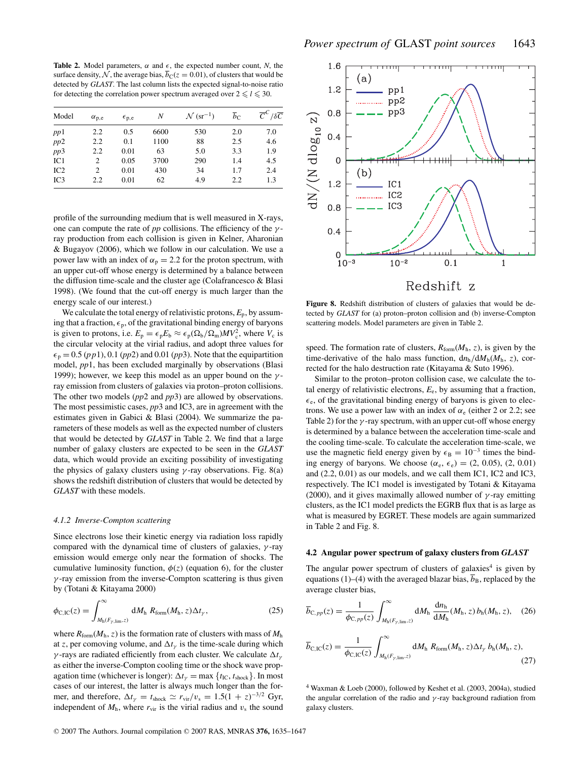**Table 2.** Model parameters,  $\alpha$  and  $\epsilon$ , the expected number count, *N*, the surface density, N, the average bias,  $b_C(z = 0.01)$ , of clusters that would be detected by *GLAST*. The last column lists the expected signal-to-noise ratio for detecting the correlation power spectrum averaged over  $2 \le l \le 30$ .

| Model | $\alpha_{p,e}$ | $\epsilon_{p,e}$ | Ν    | $\mathcal{N}$ (sr <sup>-1</sup> ) | $\overline{b}_C$ | $\overline{C}^C/\delta\overline{C}$ |
|-------|----------------|------------------|------|-----------------------------------|------------------|-------------------------------------|
| pp1   | 2.2            | 0.5              | 6600 | 530                               | 2.0              | 7.0                                 |
| pp2   | 2.2            | 0.1              | 1100 | 88                                | 2.5              | 4.6                                 |
| pp3   | 2.2            | 0.01             | 63   | 5.0                               | 3.3              | 1.9                                 |
| IC1   | 2              | 0.05             | 3700 | 290                               | 1.4              | 4.5                                 |
| IC2   | 2              | 0.01             | 430  | 34                                | 1.7              | 2.4                                 |
| IC3   | 2.2            | 0.01             | 62   | 4.9                               | 2.2              | 1.3                                 |

profile of the surrounding medium that is well measured in X-rays, one can compute the rate of  $pp$  collisions. The efficiency of the  $\gamma$ ray production from each collision is given in Kelner, Aharonian & Bugayov (2006), which we follow in our calculation. We use a power law with an index of  $\alpha_p = 2.2$  for the proton spectrum, with an upper cut-off whose energy is determined by a balance between the diffusion time-scale and the cluster age (Colafrancesco & Blasi 1998). (We found that the cut-off energy is much larger than the energy scale of our interest.)

We calculate the total energy of relativistic protons,  $E_p$ , by assuming that a fraction,  $\epsilon_p$ , of the gravitational binding energy of baryons is given to protons, i.e.  $E_p = \epsilon_p E_b \approx \epsilon_p (\Omega_b/\Omega_m)MV_c^2$ , where  $V_c$  is the circular velocity at the virial radius, and adopt three values for  $\epsilon_p = 0.5$  (*pp*1), 0.1 (*pp*2) and 0.01 (*pp*3). Note that the equipartition model, *pp*1, has been excluded marginally by observations (Blasi 1999); however, we keep this model as an upper bound on the  $\gamma$ ray emission from clusters of galaxies via proton–proton collisions. The other two models (*pp*2 and *pp*3) are allowed by observations. The most pessimistic cases, *pp*3 and IC3, are in agreement with the estimates given in Gabici & Blasi (2004). We summarize the parameters of these models as well as the expected number of clusters that would be detected by *GLAST* in Table 2. We find that a large number of galaxy clusters are expected to be seen in the *GLAST* data, which would provide an exciting possibility of investigating the physics of galaxy clusters using  $\gamma$ -ray observations. Fig. 8(a) shows the redshift distribution of clusters that would be detected by *GLAST* with these models.

#### *4.1.2 Inverse-Compton scattering*

Since electrons lose their kinetic energy via radiation loss rapidly compared with the dynamical time of clusters of galaxies,  $\gamma$ -ray emission would emerge only near the formation of shocks. The cumulative luminosity function,  $\phi(z)$  (equation 6), for the cluster  $\gamma$ -ray emission from the inverse-Compton scattering is thus given by (Totani & Kitayama 2000)

$$
\phi_{\text{C,IC}}(z) = \int_{M_{\text{h}}(F_{\gamma,\text{lim}},z)}^{\infty} dM_{\text{h}} R_{\text{form}}(M_{\text{h}},z) \Delta t_{\gamma}, \tag{25}
$$

where  $R_{\text{form}}(M_h, z)$  is the formation rate of clusters with mass of  $M_h$ at *z*, per comoving volume, and  $\Delta t$ <sub>*γ*</sub> is the time-scale during which γ-rays are radiated efficiently from each cluster. We calculate  $\Delta t$ <sub>γ</sub> as either the inverse-Compton cooling time or the shock wave propagation time (whichever is longer):  $\Delta t_{\gamma} = \max \{t_{\text{IC}}, t_{\text{shock}}\}$ . In most cases of our interest, the latter is always much longer than the former, and therefore,  $\Delta t_{\gamma} = t_{\text{shock}} \simeq r_{\text{vir}}/v_{\text{s}} = 1.5(1 + z)^{-3/2}$  Gyr, independent of  $M<sub>h</sub>$ , where  $r<sub>vir</sub>$  is the virial radius and  $v<sub>s</sub>$  the sound



**Figure 8.** Redshift distribution of clusters of galaxies that would be detected by *GLAST* for (a) proton–proton collision and (b) inverse-Compton scattering models. Model parameters are given in Table 2.

speed. The formation rate of clusters,  $R_{\text{form}}(M_h, z)$ , is given by the time-derivative of the halo mass function,  $dn_h/dM_h(M_h, z)$ , corrected for the halo destruction rate (Kitayama & Suto 1996).

Similar to the proton–proton collision case, we calculate the total energy of relativistic electrons,  $E_e$ , by assuming that a fraction,  $\epsilon_e$ , of the gravitational binding energy of baryons is given to electrons. We use a power law with an index of  $\alpha_e$  (either 2 or 2.2; see Table 2) for the  $\gamma$ -ray spectrum, with an upper cut-off whose energy is determined by a balance between the acceleration time-scale and the cooling time-scale. To calculate the acceleration time-scale, we use the magnetic field energy given by  $\epsilon_B = 10^{-3}$  times the binding energy of baryons. We choose  $(\alpha_e, \epsilon_e) = (2, 0.05), (2, 0.01)$ and (2.2, 0.01) as our models, and we call them IC1, IC2 and IC3, respectively. The IC1 model is investigated by Totani & Kitayama (2000), and it gives maximally allowed number of  $\gamma$ -ray emitting clusters, as the IC1 model predicts the EGRB flux that is as large as what is measured by EGRET. These models are again summarized in Table 2 and Fig. 8.

# **4.2 Angular power spectrum of galaxy clusters from** *GLAST*

The angular power spectrum of clusters of galaxies<sup>4</sup> is given by equations (1)–(4) with the averaged blazar bias,  $\overline{b}_B$ , replaced by the average cluster bias,

$$
\overline{b}_{\text{C},pp}(z) = \frac{1}{\phi_{\text{C},pp}(z)} \int_{M_{\text{h}}(F_{\gamma,\text{lim}},z)}^{\infty} dM_{\text{h}} \, \frac{dn_{\text{h}}}{dM_{\text{h}}}(M_{\text{h}},z) \, b_{\text{h}}(M_{\text{h}},z), \quad (26)
$$

$$
\overline{b}_{\text{C,IC}}(z) = \frac{1}{\phi_{\text{C,IC}}(z)} \int_{M_{\text{h}}(F_{\gamma,\text{lim}},z)}^{\infty} dM_{\text{h}} R_{\text{form}}(M_{\text{h}},z) \Delta t_{\gamma} b_{\text{h}}(M_{\text{h}},z), \tag{27}
$$

<sup>4</sup> Waxman & Loeb (2000), followed by Keshet et al. (2003, 2004a), studied the angular correlation of the radio and  $\gamma$ -ray background radiation from galaxy clusters.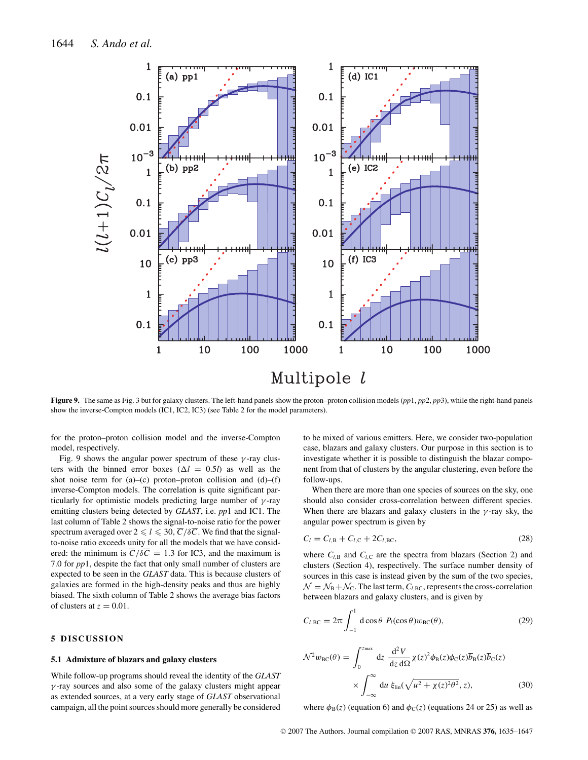

**Figure 9.** The same as Fig. 3 but for galaxy clusters. The left-hand panels show the proton–proton collision models (*pp*1, *pp*2, *pp*3), while the right-hand panels show the inverse-Compton models (IC1, IC2, IC3) (see Table 2 for the model parameters).

for the proton–proton collision model and the inverse-Compton model, respectively.

Fig. 9 shows the angular power spectrum of these  $\gamma$ -ray clusters with the binned error boxes ( $\Delta l = 0.5l$ ) as well as the shot noise term for (a)–(c) proton–proton collision and (d)–(f) inverse-Compton models. The correlation is quite significant particularly for optimistic models predicting large number of  $\gamma$ -ray emitting clusters being detected by *GLAST*, i.e. *pp*1 and IC1. The last column of Table 2 shows the signal-to-noise ratio for the power spectrum averaged over  $2 \le l \le 30$ ,  $\overline{C}/\delta\overline{C}$ . We find that the signalto-noise ratio exceeds unity for all the models that we have considered: the minimum is  $\overline{C}/\delta\overline{C} = 1.3$  for IC3, and the maximum is 7.0 for *pp*1, despite the fact that only small number of clusters are expected to be seen in the *GLAST* data. This is because clusters of galaxies are formed in the high-density peaks and thus are highly biased. The sixth column of Table 2 shows the average bias factors of clusters at  $z = 0.01$ .

# **5 DISCUSSION**

#### **5.1 Admixture of blazars and galaxy clusters**

While follow-up programs should reveal the identity of the *GLAST*  $\gamma$ -ray sources and also some of the galaxy clusters might appear as extended sources, at a very early stage of *GLAST* observational campaign, all the point sources should more generally be considered to be mixed of various emitters. Here, we consider two-population case, blazars and galaxy clusters. Our purpose in this section is to investigate whether it is possible to distinguish the blazar component from that of clusters by the angular clustering, even before the follow-ups.

When there are more than one species of sources on the sky, one should also consider cross-correlation between different species. When there are blazars and galaxy clusters in the  $\gamma$ -ray sky, the angular power spectrum is given by

$$
C_l = C_{l,B} + C_{l,C} + 2C_{l,BC},
$$
\n(28)

where  $C_{l,B}$  and  $C_{l,C}$  are the spectra from blazars (Section 2) and clusters (Section 4), respectively. The surface number density of sources in this case is instead given by the sum of the two species,  $\mathcal{N} = \mathcal{N}_{\rm B} + \mathcal{N}_{\rm C}$ . The last term,  $C_{l, \rm BC}$ , represents the cross-correlation between blazars and galaxy clusters, and is given by

$$
C_{l,BC} = 2\pi \int_{-1}^{1} d\cos\theta \ P_l(\cos\theta) w_{BC}(\theta), \qquad (29)
$$

$$
\mathcal{N}^2 w_{BC}(\theta) = \int_0^{z_{max}} dz \frac{d^2 V}{dz d\Omega} \chi(z)^2 \phi_B(z) \phi_C(z) \overline{b}_B(z) \overline{b}_C(z)
$$

$$
\times \int_{-\infty}^{\infty} du \xi_{lin}(\sqrt{u^2 + \chi(z)^2 \theta^2}, z), \tag{30}
$$

where  $\phi_B(z)$  (equation 6) and  $\phi_C(z)$  (equations 24 or 25) as well as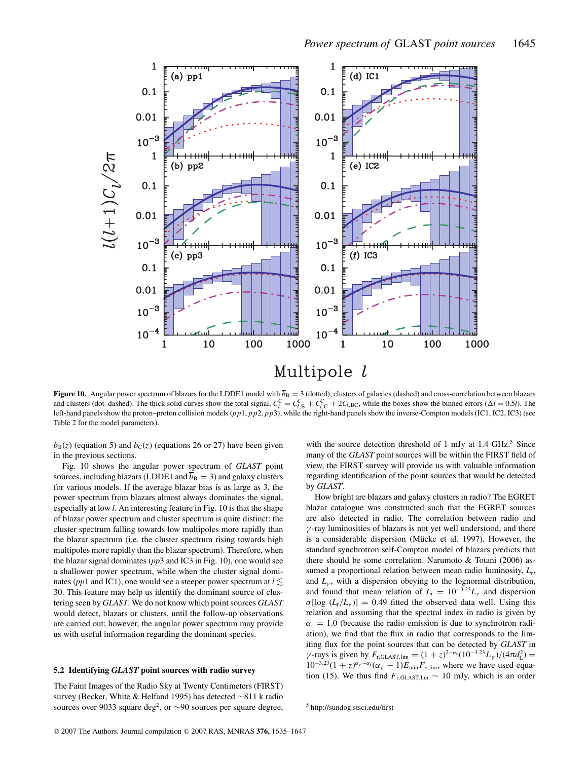

**Figure 10.** Angular power spectrum of blazars for the LDDE1 model with  $\overline{b}_B = 3$  (dotted), clusters of galaxies (dashed) and cross-correlation between blazars and clusters (dot-dashed). The thick solid curves show the total signal,  $C_l^C = C_{l,B}^C + C_{l,C}^C + 2C_{l,BC}$ , while the boxes show the binned errors ( $\Delta l = 0.5l$ ). The left-hand panels show the proton–proton collision models (*pp*1, *pp*2, *pp*3), while the right-hand panels show the inverse-Compton models (IC1, IC2, IC3) (see Table 2 for the model parameters).

 $\overline{b}_B(z)$  (equation 5) and  $\overline{b}_C(z)$  (equations 26 or 27) have been given in the previous sections.

Fig. 10 shows the angular power spectrum of *GLAST* point sources, including blazars (LDDE1 and  $\overline{b}_B = 3$ ) and galaxy clusters for various models. If the average blazar bias is as large as 3, the power spectrum from blazars almost always dominates the signal, especially at low *l*. An interesting feature in Fig. 10 is that the shape of blazar power spectrum and cluster spectrum is quite distinct: the cluster spectrum falling towards low multipoles more rapidly than the blazar spectrum (i.e. the cluster spectrum rising towards high multipoles more rapidly than the blazar spectrum). Therefore, when the blazar signal dominates (*pp*3 and IC3 in Fig. 10), one would see a shallower power spectrum, while when the cluster signal dominates (*pp*1 and IC1), one would see a steeper power spectrum at  $l \lesssim$ 30. This feature may help us identify the dominant source of clustering seen by *GLAST*. We do not know which point sources *GLAST* would detect, blazars or clusters, until the follow-up observations are carried out; however, the angular power spectrum may provide us with useful information regarding the dominant species.

#### **5.2 Identifying** *GLAST* **point sources with radio survey**

The Faint Images of the Radio Sky at Twenty Centimeters (FIRST) survey (Becker, White & Helfand 1995) has detected ∼811 k radio sources over 9033 square deg<sup>2</sup>, or ∼90 sources per square degree, with the source detection threshold of 1 mJy at  $1.4$  GHz.<sup>5</sup> Since many of the *GLAST* point sources will be within the FIRST field of view, the FIRST survey will provide us with valuable information regarding identification of the point sources that would be detected by *GLAST*.

How bright are blazars and galaxy clusters in radio? The EGRET blazar catalogue was constructed such that the EGRET sources are also detected in radio. The correlation between radio and  $\gamma$ -ray luminosities of blazars is not yet well understood, and there is a considerable dispersion (Mücke et al. 1997). However, the standard synchrotron self-Compton model of blazars predicts that there should be some correlation. Narumoto & Totani (2006) assumed a proportional relation between mean radio luminosity, *L*r, and  $L<sub>y</sub>$ , with a dispersion obeying to the lognormal distribution, and found that mean relation of  $L_r = 10^{-3.23} L_\gamma$  and dispersion  $\sigma$ [log ( $L_r/L_\gamma$ )] = 0.49 fitted the observed data well. Using this relation and assuming that the spectral index in radio is given by  $\alpha_r = 1.0$  (because the radio emission is due to synchrotron radiation), we find that the flux in radio that corresponds to the limiting flux for the point sources that can be detected by *GLAST* in  $\gamma$ -rays is given by  $F_{\rm r, GLAST,lim} = (1+z)^{2-\alpha_{\rm r}} (10^{-3.23} L_{\gamma})/(4\pi d_{\rm L}^2)$  =  $10^{-3.23}(1+z)^{\alpha_{\gamma}-\alpha_{\rm r}}(\alpha_{\gamma}-1)E_{\rm min}F_{\gamma,\rm lim}$ , where we have used equation (15). We thus find  $F_{r, GLAST,lim} \sim 10$  mJy, which is an order

<sup>5</sup> http://sundog.stsci.edu/first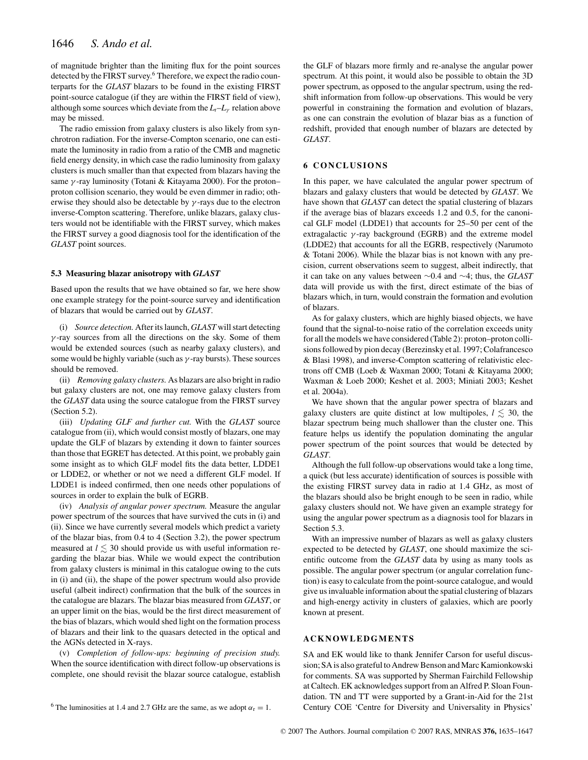of magnitude brighter than the limiting flux for the point sources detected by the FIRST survey.<sup>6</sup> Therefore, we expect the radio counterparts for the *GLAST* blazars to be found in the existing FIRST point-source catalogue (if they are within the FIRST field of view), although some sources which deviate from the  $L_r - L_\nu$  relation above may be missed.

The radio emission from galaxy clusters is also likely from synchrotron radiation. For the inverse-Compton scenario, one can estimate the luminosity in radio from a ratio of the CMB and magnetic field energy density, in which case the radio luminosity from galaxy clusters is much smaller than that expected from blazars having the same  $\gamma$ -ray luminosity (Totani & Kitayama 2000). For the proton– proton collision scenario, they would be even dimmer in radio; otherwise they should also be detectable by  $\gamma$ -rays due to the electron inverse-Compton scattering. Therefore, unlike blazars, galaxy clusters would not be identifiable with the FIRST survey, which makes the FIRST survey a good diagnosis tool for the identification of the *GLAST* point sources.

## **5.3 Measuring blazar anisotropy with** *GLAST*

Based upon the results that we have obtained so far, we here show one example strategy for the point-source survey and identification of blazars that would be carried out by *GLAST*.

(i) *Source detection.* After its launch, *GLAST* will start detecting γ -ray sources from all the directions on the sky. Some of them would be extended sources (such as nearby galaxy clusters), and some would be highly variable (such as  $\gamma$ -ray bursts). These sources should be removed.

(ii) *Removing galaxy clusters.* As blazars are also bright in radio but galaxy clusters are not, one may remove galaxy clusters from the *GLAST* data using the source catalogue from the FIRST survey (Section 5.2).

(iii) *Updating GLF and further cut.* With the *GLAST* source catalogue from (ii), which would consist mostly of blazars, one may update the GLF of blazars by extending it down to fainter sources than those that EGRET has detected. At this point, we probably gain some insight as to which GLF model fits the data better, LDDE1 or LDDE2, or whether or not we need a different GLF model. If LDDE1 is indeed confirmed, then one needs other populations of sources in order to explain the bulk of EGRB.

(iv) *Analysis of angular power spectrum.* Measure the angular power spectrum of the sources that have survived the cuts in (i) and (ii). Since we have currently several models which predict a variety of the blazar bias, from 0.4 to 4 (Section 3.2), the power spectrum measured at  $l \lesssim 30$  should provide us with useful information regarding the blazar bias. While we would expect the contribution from galaxy clusters is minimal in this catalogue owing to the cuts in (i) and (ii), the shape of the power spectrum would also provide useful (albeit indirect) confirmation that the bulk of the sources in the catalogue are blazars. The blazar bias measured from *GLAST*, or an upper limit on the bias, would be the first direct measurement of the bias of blazars, which would shed light on the formation process of blazars and their link to the quasars detected in the optical and the AGNs detected in X-rays.

(v) *Completion of follow-ups: beginning of precision study.* When the source identification with direct follow-up observations is complete, one should revisit the blazar source catalogue, establish

<sup>6</sup> The luminosities at 1.4 and 2.7 GHz are the same, as we adopt  $\alpha_r = 1$ .

the GLF of blazars more firmly and re-analyse the angular power spectrum. At this point, it would also be possible to obtain the 3D power spectrum, as opposed to the angular spectrum, using the redshift information from follow-up observations. This would be very powerful in constraining the formation and evolution of blazars, as one can constrain the evolution of blazar bias as a function of redshift, provided that enough number of blazars are detected by *GLAST*.

#### **6 CONCLUSIONS**

In this paper, we have calculated the angular power spectrum of blazars and galaxy clusters that would be detected by *GLAST*. We have shown that *GLAST* can detect the spatial clustering of blazars if the average bias of blazars exceeds 1.2 and 0.5, for the canonical GLF model (LDDE1) that accounts for 25–50 per cent of the extragalactic  $\gamma$ -ray background (EGRB) and the extreme model (LDDE2) that accounts for all the EGRB, respectively (Narumoto & Totani 2006). While the blazar bias is not known with any precision, current observations seem to suggest, albeit indirectly, that it can take on any values between ∼0.4 and ∼4; thus, the *GLAST* data will provide us with the first, direct estimate of the bias of blazars which, in turn, would constrain the formation and evolution of blazars.

As for galaxy clusters, which are highly biased objects, we have found that the signal-to-noise ratio of the correlation exceeds unity for all the models we have considered (Table 2): proton–proton collisions followed by pion decay (Berezinsky et al. 1997; Colafrancesco & Blasi 1998), and inverse-Compton scattering of relativistic electrons off CMB (Loeb & Waxman 2000; Totani & Kitayama 2000; Waxman & Loeb 2000; Keshet et al. 2003; Miniati 2003; Keshet et al. 2004a).

We have shown that the angular power spectra of blazars and galaxy clusters are quite distinct at low multipoles,  $l \lesssim 30$ , the blazar spectrum being much shallower than the cluster one. This feature helps us identify the population dominating the angular power spectrum of the point sources that would be detected by *GLAST*.

Although the full follow-up observations would take a long time, a quick (but less accurate) identification of sources is possible with the existing FIRST survey data in radio at 1.4 GHz, as most of the blazars should also be bright enough to be seen in radio, while galaxy clusters should not. We have given an example strategy for using the angular power spectrum as a diagnosis tool for blazars in Section 5.3.

With an impressive number of blazars as well as galaxy clusters expected to be detected by *GLAST*, one should maximize the scientific outcome from the *GLAST* data by using as many tools as possible. The angular power spectrum (or angular correlation function) is easy to calculate from the point-source catalogue, and would give us invaluable information about the spatial clustering of blazars and high-energy activity in clusters of galaxies, which are poorly known at present.

# **ACKNOWLEDGMENTS**

SA and EK would like to thank Jennifer Carson for useful discussion; SA is also grateful to Andrew Benson and Marc Kamionkowski for comments. SA was supported by Sherman Fairchild Fellowship at Caltech. EK acknowledges support from an Alfred P. Sloan Foundation. TN and TT were supported by a Grant-in-Aid for the 21st Century COE 'Centre for Diversity and Universality in Physics'